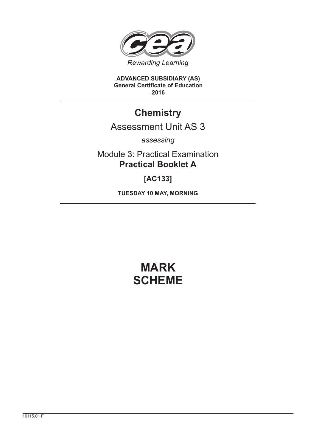

**ADVANCED SUBSIDIARY (AS) General Certificate of Education 2016**

# **Chemistry**

# Assessment Unit AS 3

*assessing*

Module 3: Practical Examination **Practical Booklet A**

**[AC133]**

**TUESDAY 10 MAY, MORNING**

# **MARK SCHEME**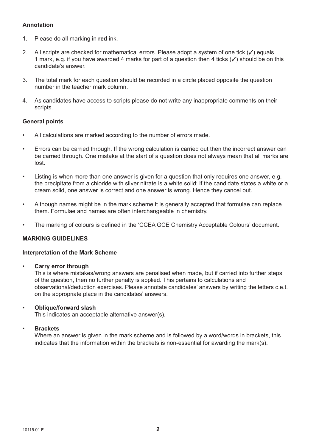# **Annotation**

- 1. Please do all marking in **red** ink.
- 2. All scripts are checked for mathematical errors. Please adopt a system of one tick  $(\checkmark)$  equals 1 mark, e.g. if you have awarded 4 marks for part of a question then 4 ticks  $(\checkmark)$  should be on this candidate's answer.
- 3. The total mark for each question should be recorded in a circle placed opposite the question number in the teacher mark column.
- 4. As candidates have access to scripts please do not write any inappropriate comments on their scripts.

#### **General points**

- All calculations are marked according to the number of errors made.
- Errors can be carried through. If the wrong calculation is carried out then the incorrect answer can be carried through. One mistake at the start of a question does not always mean that all marks are lost.
- Listing is when more than one answer is given for a question that only requires one answer, e.g. the precipitate from a chloride with silver nitrate is a white solid; if the candidate states a white or a cream solid, one answer is correct and one answer is wrong. Hence they cancel out.
- Although names might be in the mark scheme it is generally accepted that formulae can replace them. Formulae and names are often interchangeable in chemistry.
- The marking of colours is defined in the 'CCEA GCE Chemistry Acceptable Colours' document.

#### **MARKING GUIDELINES**

#### **Interpretation of the Mark Scheme**

• **Carry error through**

 This is where mistakes/wrong answers are penalised when made, but if carried into further steps of the question, then no further penalty is applied. This pertains to calculations and observational/deduction exercises. Please annotate candidates' answers by writing the letters c.e.t. on the appropriate place in the candidates' answers.

#### • **Oblique/forward slash**

This indicates an acceptable alternative answer(s).

#### • **Brackets**

 Where an answer is given in the mark scheme and is followed by a word/words in brackets, this indicates that the information within the brackets is non-essential for awarding the mark(s).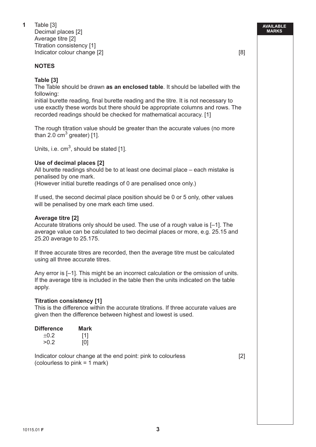**1** Table [3]

 Decimal places [2] Average titre [2] Titration consistency [1] Indicator colour change [2] **Example 10** and the set of the set of the set of the set of the set of the set of the set of the set of the set of the set of the set of the set of the set of the set of the set of the set of t

# **NOTES**

**Table [3]**

 The Table should be drawn **as an enclosed table**. It should be labelled with the following:

 initial burette reading, final burette reading and the titre. It is not necessary to use exactly these words but there should be appropriate columns and rows. The recorded readings should be checked for mathematical accuracy. [1]

 The rough titration value should be greater than the accurate values (no more than 2.0  $cm<sup>3</sup>$  greater) [1].

Units, i.e.  $cm<sup>3</sup>$ , should be stated [1].

# **Use of decimal places [2]**

 All burette readings should be to at least one decimal place – each mistake is penalised by one mark.

(However initial burette readings of 0 are penalised once only.)

 If used, the second decimal place position should be 0 or 5 only, other values will be penalised by one mark each time used.

### **Average titre [2]**

 Accurate titrations only should be used. The use of a rough value is [–1]. The average value can be calculated to two decimal places or more, e.g. 25.15 and 25.20 average to 25.175.

 If three accurate titres are recorded, then the average titre must be calculated using all three accurate titres.

 Any error is [–1]. This might be an incorrect calculation or the omission of units. If the average titre is included in the table then the units indicated on the table apply.

### **Titration consistency [1]**

 This is the difference within the accurate titrations. If three accurate values are given then the difference between highest and lowest is used.

| <b>Difference</b> | Mark |
|-------------------|------|
| $+0.2$            | [1]  |
| >0.2              | [0]  |

 Indicator colour change at the end point: pink to colourless [2] (colourless to pink = 1 mark)